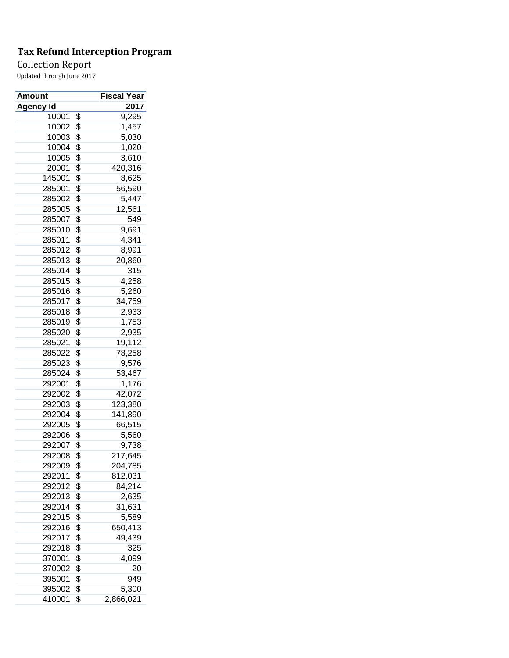## Collection Report

| Amount    | Fiscal Year     |
|-----------|-----------------|
| Agency Id | 2017            |
| 10001     | \$<br>9,295     |
| 10002     | \$<br>1,457     |
| 10003     | \$<br>5,030     |
| 10004     | \$<br>1,020     |
| 10005     | \$<br>3,610     |
| 20001     | \$<br>420,316   |
| 145001    | \$<br>8,625     |
| 285001    | \$<br>56,590    |
| 285002    | \$<br>5,447     |
| 285005    | \$<br>12,561    |
| 285007    | \$<br>549       |
| 285010    | \$<br>9,691     |
| 285011    | \$<br>4,341     |
| 285012    | \$<br>8,991     |
| 285013    | \$<br>20,860    |
| 285014    | \$<br>315       |
| 285015    | \$<br>4,258     |
| 285016    | \$<br>5,260     |
| 285017    | \$<br>34,759    |
| 285018    | \$<br>2,933     |
| 285019    | \$<br>1,753     |
| 285020    | \$              |
| 285021    | 2,935           |
|           | \$<br>19,112    |
| 285022    | \$<br>78,258    |
| 285023    | \$<br>9,576     |
| 285024    | \$<br>53,467    |
| 292001    | \$<br>1,176     |
| 292002    | \$<br>42,072    |
| 292003    | \$<br>123,380   |
| 292004    | \$<br>141,890   |
| 292005    | \$<br>66,515    |
| 292006    | \$<br>5,560     |
| 292007    | \$<br>9,738     |
| 292008    | \$<br>217,645   |
| 292009    | \$<br>204,785   |
| 292011    | \$<br>812,031   |
| 292012    | \$<br>84,214    |
| 292013    | \$<br>2,635     |
| 292014    | \$<br>31,631    |
| 292015    | \$<br>5,589     |
| 292016    | \$<br>650,413   |
| 292017    | \$<br>49,439    |
| 292018    | \$<br>325       |
| 370001    | \$<br>4,099     |
| 370002    | \$<br>20        |
| 395001    | \$<br>949       |
| 395002    | \$<br>5,300     |
| 410001    | \$<br>2,866,021 |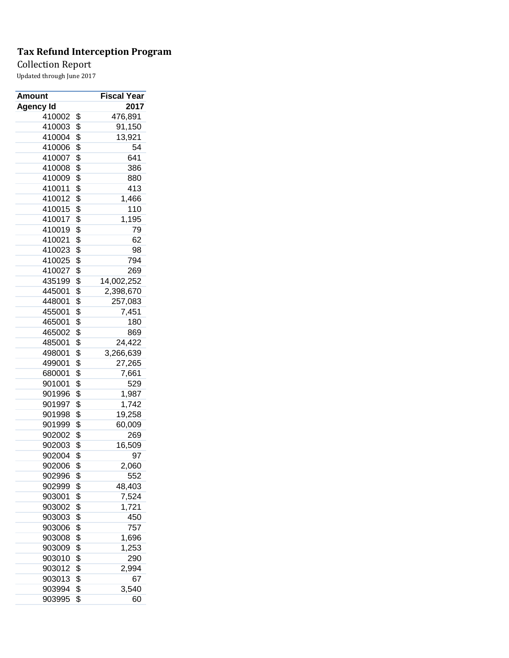Collection Report

| Amount    | Fiscal Year      |
|-----------|------------------|
| Agency Id | 2017             |
| 410002    | \$<br>476,891    |
| 410003    | \$<br>91,150     |
| 410004    | \$<br>13,921     |
| 410006    | \$<br>54         |
| 410007    | \$<br>641        |
| 410008    | \$<br>386        |
| 410009    | \$<br>880        |
| 410011    | \$<br>413        |
| 410012    | \$<br>1,466      |
| 410015    | \$<br>110        |
| 410017    | \$<br>1,195      |
| 410019    | \$<br>79         |
| 410021    | \$<br>62         |
| 410023    | \$<br>98         |
| 410025    | \$<br>794        |
| 410027    | \$<br>269        |
| 435199    | \$<br>14,002,252 |
| 445001    | \$<br>2,398,670  |
| 448001    | \$<br>257,083    |
| 455001    | \$<br>7,451      |
| 465001    | \$<br>180        |
| 465002    | \$<br>869        |
| 485001    | \$<br>24,422     |
| 498001    | \$<br>3,266,639  |
| 499001    | \$<br>27,265     |
| 680001    | \$<br>7,661      |
| 901001    | \$<br>529        |
| 901996    | \$<br>1,987      |
| 901997    | \$<br>1,742      |
| 901998    | \$               |
| 901999    | 19,258           |
|           | \$<br>60,009     |
| 902002    | \$<br>269        |
| 902003    | \$<br>16,509     |
| 902004    | \$<br>97         |
| 902006    | \$<br>2,060      |
| 902996    | \$<br>552        |
| 902999    | \$<br>48,403     |
| 903001    | \$<br>7,524      |
| 903002    | \$<br>1,721      |
| 903003    | \$<br>450        |
| 903006    | \$<br>757        |
| 903008    | \$<br>1,696      |
| 903009    | \$<br>1,253      |
| 903010    | \$<br>290        |
| 903012    | \$<br>2,994      |
| 903013    | \$<br>67         |
| 903994    | \$<br>3,540      |
| 903995    | \$<br>60         |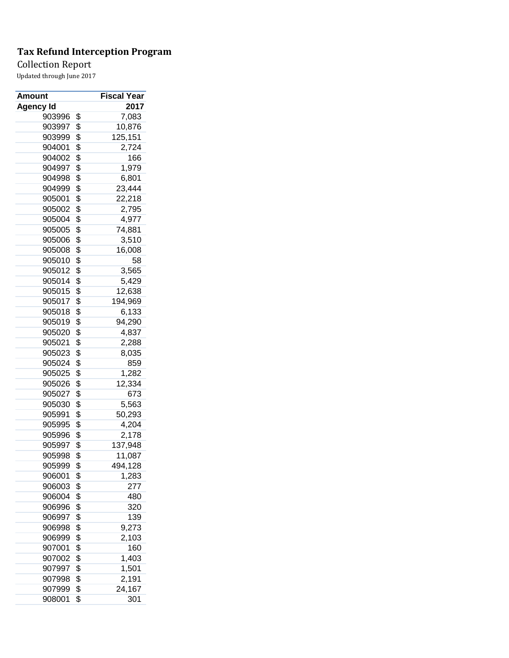Collection Report

| Amount           | Fiscal Year   |
|------------------|---------------|
| <b>Agency Id</b> | 2017          |
| 903996           | \$<br>7,083   |
| 903997           | \$<br>10,876  |
| 903999           | \$<br>125,151 |
| 904001           | \$<br>2,724   |
| 904002           | \$<br>166     |
| 904997           | \$<br>1,979   |
| 904998           | \$<br>6,801   |
| 904999           | \$<br>23,444  |
| 905001           | \$<br>22,218  |
| 905002           | \$<br>2,795   |
| 905004           | \$<br>4,977   |
| 905005           | \$<br>74,881  |
| 905006           | \$<br>3,510   |
| 905008           | \$<br>16,008  |
| 905010           | \$<br>58      |
| 905012           | \$<br>3,565   |
| 905014           | \$<br>5,429   |
| 905015           | \$<br>12,638  |
| 905017           | \$<br>194,969 |
| 905018           | \$<br>6,133   |
| 905019           | \$<br>94,290  |
| 905020           | \$<br>4,837   |
| 905021           |               |
|                  | \$<br>2,288   |
| 905023           | \$<br>8,035   |
| 905024           | \$<br>859     |
| 905025           | \$<br>1,282   |
| 905026           | \$<br>12,334  |
| 905027           | \$<br>673     |
| 905030           | \$<br>5,563   |
| 905991           | \$<br>50,293  |
| 905995           | \$<br>4,204   |
| 905996           | \$<br>2,178   |
| 905997           | \$<br>137,948 |
| 905998           | \$<br>11,087  |
| 905999           | \$<br>494,128 |
| 906001           | \$<br>1,283   |
| 906003           | \$<br>277     |
| 906004           | \$<br>480     |
| 906996           | \$<br>320     |
| 906997           | \$<br>139     |
| 906998           | \$<br>9,273   |
| 906999           | \$<br>2,103   |
| 907001           | \$<br>160     |
| 907002           | \$<br>1,403   |
| 907997           | \$<br>1,501   |
| 907998           | \$<br>2,191   |
| 907999           | \$<br>24,167  |
| 908001           | \$<br>301     |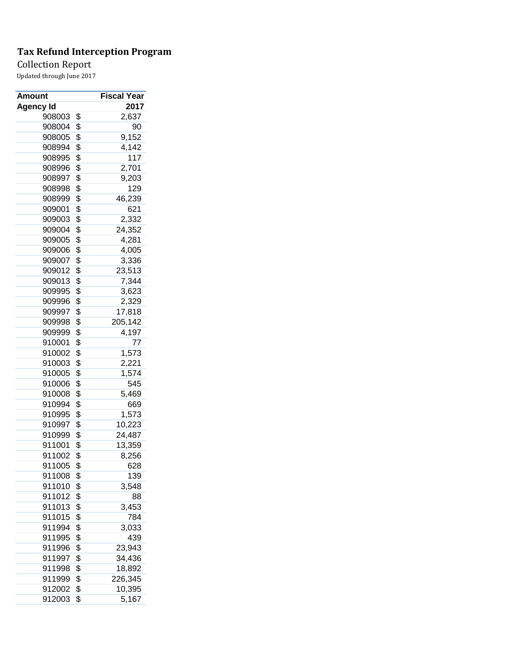Collection Report

| Amount    | Fiscal Year   |
|-----------|---------------|
| Agency Id | 2017          |
| 908003    | \$<br>2,637   |
| 908004    | \$<br>90      |
| 908005    | \$<br>9,152   |
| 908994    | \$<br>4,142   |
| 908995    | \$<br>117     |
| 908996    | \$<br>2,701   |
| 908997    | \$<br>9,203   |
| 908998    | \$<br>129     |
| 908999    | \$<br>46,239  |
| 909001    | \$<br>621     |
| 909003    | \$<br>2,332   |
| 909004    | \$<br>24,352  |
| 909005    | \$<br>4,281   |
| 909006    | \$<br>4,005   |
| 909007    | \$<br>3,336   |
| 909012    | \$<br>23,513  |
| 909013    | \$<br>7,344   |
| 909995    | \$<br>3,623   |
| 909996    | \$<br>2,329   |
| 909997    | \$<br>17,818  |
| 909998    | \$<br>205,142 |
| 909999    | \$<br>4,197   |
| 910001    | \$<br>77      |
| 910002    | \$<br>1,573   |
| 910003    | \$<br>2,221   |
| 910005    | \$<br>1,574   |
| 910006    | \$<br>545     |
| 910008    | \$<br>5,469   |
| 910994    | \$<br>669     |
| 910995    | \$<br>1,573   |
| 910997    | \$<br>10,223  |
| 910999    | \$<br>24,487  |
| 911001    | \$<br>13,359  |
| 911002    | \$<br>8,256   |
| 911005    | \$<br>628     |
| 911008    | \$<br>139     |
| 911010    | \$<br>3,548   |
| 911012    | \$<br>88      |
| 911013    | \$<br>3,453   |
| 911015    | \$<br>784     |
| 911994    | \$<br>3,033   |
| 911995    | \$<br>439     |
| 911996    | \$<br>23,943  |
| 911997    | \$<br>34,436  |
| 911998    | \$<br>18,892  |
| 911999    | \$<br>226,345 |
| 912002    | \$<br>10,395  |
| 912003    | \$<br>5,167   |
|           |               |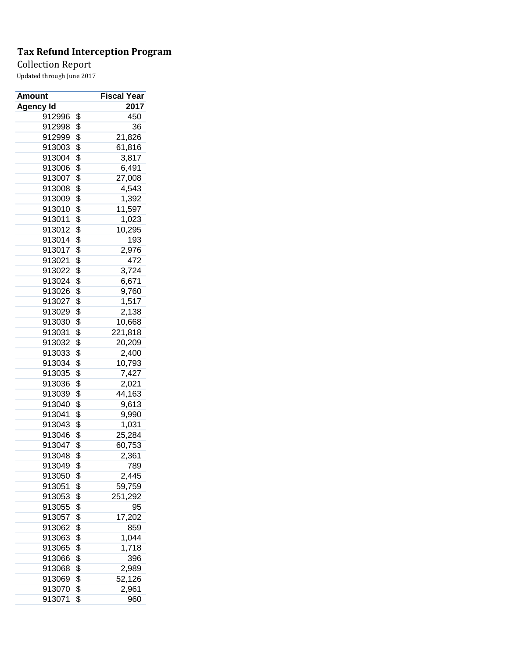Collection Report

| Amount           | <b>Fiscal Year</b> |
|------------------|--------------------|
| <b>Agency Id</b> | 2017               |
| 912996           | \$<br>450          |
| 912998           | \$<br>36           |
| 912999           | \$<br>21,826       |
| 913003           | \$<br>61,816       |
| 913004           | \$<br>3,817        |
| 913006           | \$<br>6,491        |
| 913007           | \$<br>27,008       |
| 913008           | \$<br>4,543        |
| 913009           | \$<br>1,392        |
| 913010           | \$<br>11,597       |
| 913011           | \$<br>1,023        |
| 913012           | \$<br>10,295       |
| 913014           | \$<br>193          |
| 913017           | \$<br>2,976        |
| 913021           | \$<br>472          |
| 913022           | \$<br>3,724        |
| 913024           | \$<br>6,671        |
| 913026           | \$<br>9,760        |
| 913027           | \$<br>1,517        |
| 913029           | \$<br>2,138        |
| 913030           | \$<br>10,668       |
| 913031           | \$<br>221,818      |
| 913032           | \$<br>20,209       |
| 913033           | \$<br>2,400        |
| 913034           | \$<br>10,793       |
| 913035           | \$<br>7,427        |
| 913036           | \$<br>2,021        |
| 913039           | \$<br>44,163       |
| 913040           | \$<br>9,613        |
| 913041           | \$<br>9,990        |
| 913043           | \$<br>1,031        |
| 913046           | \$<br>25,284       |
| 913047           | \$<br>60,753       |
| 913048           | \$<br>2,361        |
| 913049           | \$<br>789          |
| 913050           | \$<br>2,445        |
| 913051           | \$<br>59,759       |
| 913053           | \$<br>251,292      |
| 913055           | \$<br>95           |
| 913057           | \$<br>17,202       |
| 913062           | \$<br>859          |
| 913063           | \$<br>1,044        |
| 913065           | \$<br>1,718        |
| 913066           | \$<br>396          |
| 913068           | \$<br>2,989        |
| 913069           | \$<br>52,126       |
| 913070           | \$<br>2,961        |
| 913071           | \$<br>960          |
|                  |                    |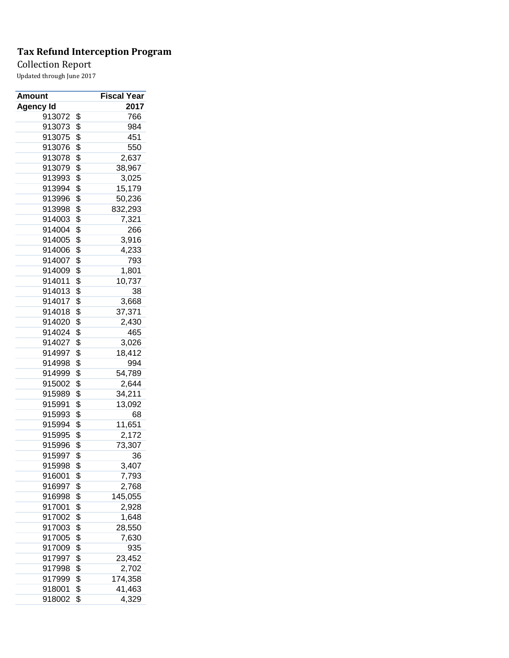Collection Report

| Amount           | Fiscal Year        |
|------------------|--------------------|
| <b>Agency Id</b> | 2017               |
| 913072           | \$<br>766          |
| 913073           | \$<br>984          |
| 913075           | \$<br>451          |
| 913076           | \$<br>550          |
| 913078           | \$<br>2,637        |
| 913079           | \$<br>38,967       |
| 913993           | \$<br>3,025        |
| 913994           | \$<br>15,179       |
| 913996           | \$<br>50,236       |
| 913998           | \$<br>832,293      |
| 914003           | \$<br>7,321        |
| 914004           | \$<br>266          |
| 914005           | \$<br>3,916        |
| 914006           | \$<br>4,233        |
| 914007           | \$<br>793          |
| 914009           | \$<br>1,801        |
| 914011           | \$<br>10,737       |
| 914013           | \$<br>38           |
| 914017           | \$<br>3,668        |
| 914018           | \$<br>37,371       |
| 914020           | \$<br>2,430        |
| 914024           | \$<br>465          |
| 914027           | \$<br>3,026        |
| 914997           | \$<br>18,412       |
| 914998           | \$<br>994          |
| 914999           | \$<br>54,789       |
| 915002           | \$<br>2,644        |
| 915989           | \$<br>34,211       |
| 915991           | \$<br>13,092       |
| 915993           | \$<br>68           |
| 915994           | \$<br>11,651       |
| 915995           | \$<br>2,172        |
| 915996           | \$<br>73,307       |
| 915997           | \$<br>36           |
| 915998           | \$<br>3,407        |
| 916001           | \$<br>7,793        |
| 916997           | \$<br>2,768        |
| 916998           | \$<br>145,055      |
| 917001           | \$<br>2,928        |
| 917002           | \$<br>1,648        |
| 917003           | \$<br>28,550       |
| 917005           | \$                 |
| 917009           | \$<br>7,630<br>935 |
|                  |                    |
| 917997           | \$<br>23,452       |
| 917998           | \$<br>2,702        |
| 917999           | \$<br>174,358      |
| 918001           | \$<br>41,463       |
| 918002           | \$<br>4,329        |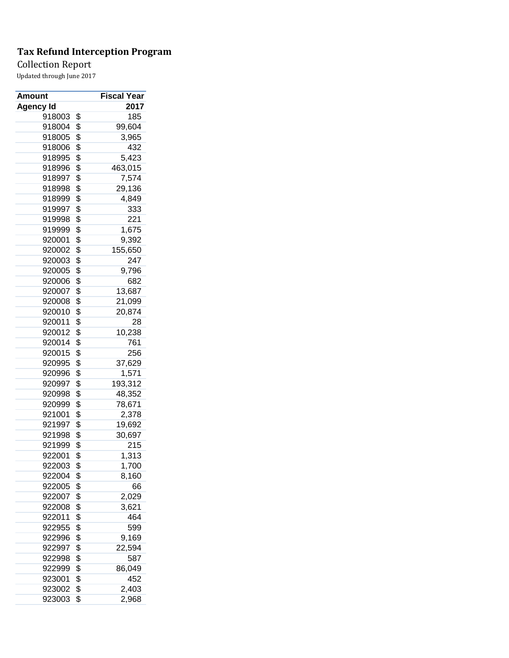Collection Report

| Amount    | <b>Fiscal Year</b>         |
|-----------|----------------------------|
| Agency Id | 2017                       |
| 918003    | \$<br>185                  |
| 918004    | \$<br>99,604               |
| 918005    | \$<br>3,965                |
| 918006    | \$<br>432                  |
| 918995    | \$<br>5,423                |
| 918996    | \$<br>463,015              |
| 918997    | \$<br>7,574                |
| 918998    | \$<br>29,136               |
| 918999    | \$<br>4,849                |
| 919997    | \$<br>333                  |
| 919998    | \$<br>221                  |
| 919999    | \$<br>1,675                |
| 920001    | \$<br>9,392                |
| 920002    | \$<br>155,650              |
| 920003    | \$<br>247                  |
| 920005    | \$<br>9,796                |
| 920006    | \$<br>682                  |
| 920007    | \$<br>13,687               |
| 920008    | \$<br>21,099               |
| 920010    | \$<br>20,874               |
| 920011    | \$<br>28                   |
| 920012    | \$<br>10,238               |
| 920014    | \$<br>761                  |
| 920015    | \$<br>256                  |
| 920995    | \$<br>37,629               |
| 920996    | \$<br>1,571                |
| 920997    | \$<br>193,312              |
| 920998    | \$<br>48,352               |
| 920999    | \$<br>78,671               |
| 921001    | \$<br>2,378                |
| 921997    | \$<br>19,692               |
| 921998    | \$                         |
|           | 30,697<br>$\overline{215}$ |
| 921999    | \$                         |
| 922001    | \$<br>1,313                |
| 922003    | \$<br>1,700                |
| 922004    | \$<br>8,160                |
| 922005    | \$<br>66                   |
| 922007    | \$<br>2,029                |
| 922008    | \$<br>3,621                |
| 922011    | \$<br>464                  |
| 922955    | \$<br>599                  |
| 922996    | \$<br>9,169                |
| 922997    | \$<br>22,594               |
| 922998    | \$<br>587                  |
| 922999    | \$<br>86,049               |
| 923001    | \$<br>452                  |
| 923002    | \$<br>2,403                |
| 923003    | \$<br>2,968                |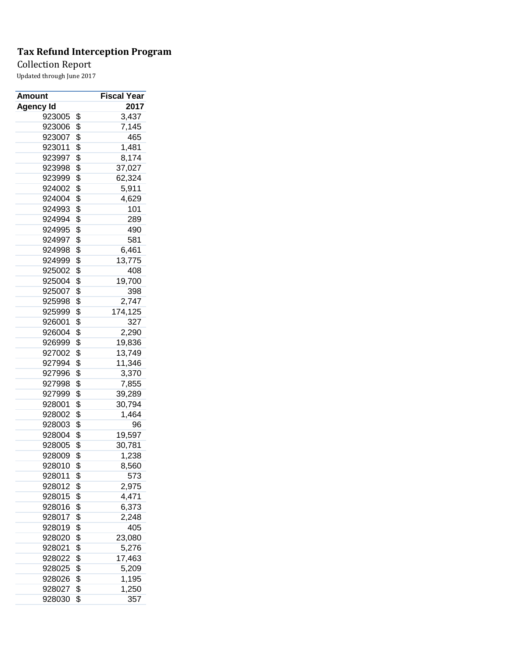## Collection Report

| <b>Amount</b>    | Fiscal Year   |
|------------------|---------------|
| <b>Agency Id</b> | 2017          |
| 923005           | \$<br>3,437   |
| 923006           | \$<br>7,145   |
| 923007           | \$<br>465     |
| 923011           | \$<br>1,481   |
| 923997           | \$<br>8,174   |
| 923998           | \$<br>37,027  |
| 923999           | \$<br>62,324  |
| 924002           | \$<br>5,911   |
| 924004           | \$<br>4,629   |
| 924993           | \$<br>101     |
| 924994           | \$<br>289     |
| 924995           | \$<br>490     |
| 924997           | \$<br>581     |
| 924998           | \$<br>6,461   |
| 924999           | \$<br>13,775  |
| 925002           | \$<br>408     |
| 925004           | \$<br>19,700  |
| 925007           | \$<br>398     |
| 925998           | \$<br>2,747   |
| 925999           | \$<br>174,125 |
| 926001           | \$<br>327     |
| 926004           | \$<br>2,290   |
| 926999           | \$<br>19,836  |
| 927002           | \$<br>13,749  |
|                  |               |
| 927994           | \$<br>11,346  |
| 927996           | \$<br>3,370   |
| 927998           | \$<br>7,855   |
| 927999           | \$<br>39,289  |
| 928001           | \$<br>30,794  |
| 928002           | \$<br>1,464   |
| 928003           | \$<br>96      |
| 928004           | \$<br>19,597  |
| 928005           | \$<br>30,781  |
| 928009           | \$<br>1,238   |
| 928010           | \$<br>8,560   |
| 928011           | \$<br>573     |
| 928012           | \$<br>2,975   |
| 928015           | \$<br>4,471   |
| 928016           | \$<br>6,373   |
| 928017           | \$<br>2,248   |
| 928019           | \$<br>405     |
| 928020           | \$<br>23,080  |
| 928021           | \$<br>5,276   |
| 928022           | \$<br>17,463  |
| 928025           | \$<br>5,209   |
| 928026           | \$<br>1,195   |
| 928027           | \$<br>1,250   |
| 928030           | \$<br>357     |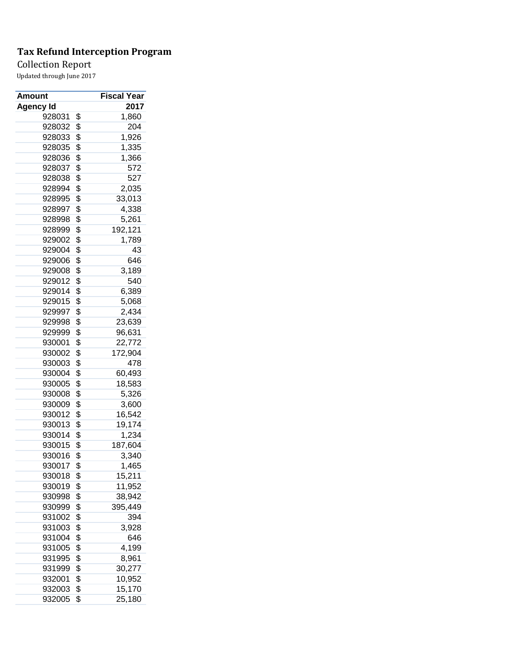## Collection Report

| <b>Amount</b>    | Fiscal Year   |
|------------------|---------------|
| <b>Agency Id</b> | 2017          |
| 928031           | \$<br>1,860   |
| 928032           | \$<br>204     |
| 928033           | \$<br>1,926   |
| 928035           | \$<br>1,335   |
| 928036           | \$<br>1,366   |
| 928037           | \$<br>572     |
| 928038           | \$<br>527     |
| 928994           | \$<br>2,035   |
| 928995           | \$<br>33,013  |
| 928997           | \$<br>4,338   |
| 928998           | \$<br>5,261   |
| 928999           | \$<br>192,121 |
| 929002           | \$<br>1,789   |
| 929004           | \$<br>43      |
| 929006           | \$<br>646     |
| 929008           | \$<br>3,189   |
| 929012           | \$<br>540     |
| 929014           | \$<br>6,389   |
| 929015           | \$<br>5,068   |
| 929997           | \$<br>2,434   |
| 929998           | \$<br>23,639  |
| 929999           | \$<br>96,631  |
| 930001           | \$<br>22,772  |
| 930002           | \$<br>172,904 |
| 930003           | \$<br>478     |
| 930004           | \$<br>60,493  |
| 930005           | \$<br>18,583  |
| 930008           | \$<br>5,326   |
| 930009           | \$<br>3,600   |
| 930012           | \$<br>16,542  |
| 930013           | \$<br>19,174  |
| 930014           | \$<br>1,234   |
| 930015           | \$<br>187,604 |
| 930016           | \$<br>3,340   |
| 930017           | \$<br>1,465   |
| 930018           | \$<br>15,211  |
| 930019           | \$<br>11,952  |
| 930998           | \$<br>38,942  |
| 930999           | \$<br>395,449 |
| 931002           | \$<br>394     |
| 931003           | \$            |
|                  | 3,928         |
| 931004           | \$<br>646     |
| 931005           | \$<br>4,199   |
| 931995           | \$<br>8,961   |
| 931999           | \$<br>30,277  |
| 932001           | \$<br>10,952  |
| 932003           | \$<br>15,170  |
| 932005           | \$<br>25,180  |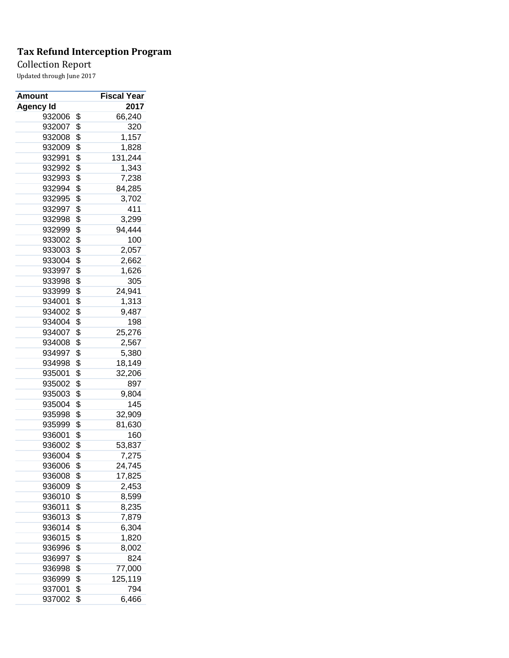Collection Report

| Amount           | <b>Fiscal Year</b> |
|------------------|--------------------|
| <b>Agency Id</b> | 2017               |
| 932006           | \$<br>66,240       |
| 932007           | \$<br>320          |
| 932008           | \$<br>1,157        |
| 932009           | \$<br>1,828        |
| 932991           | \$<br>131,244      |
| 932992           | \$<br>1,343        |
| 932993           | \$<br>7,238        |
| 932994           | \$<br>84,285       |
| 932995           | \$<br>3,702        |
| 932997           | \$<br>411          |
| 932998           | \$<br>3,299        |
| 932999           | \$<br>94,444       |
| 933002           | \$<br>100          |
| 933003           | \$<br>2,057        |
| 933004           | \$<br>2,662        |
| 933997           | \$<br>1,626        |
| 933998           | \$<br>305          |
| 933999           | \$<br>24,941       |
| 934001           | \$<br>1,313        |
| 934002           | \$<br>9,487        |
| 934004           | \$<br>198          |
| 934007           | \$<br>25,276       |
| 934008           | \$<br>2,567        |
| 934997           | \$<br>5,380        |
| 934998           | \$<br>18,149       |
| 935001           | \$<br>32,206       |
| 935002           | \$<br>897          |
| 935003           | \$<br>9,804        |
| 935004           | \$<br>145          |
| 935998           | \$<br>32,909       |
| 935999           | \$<br>81,630       |
| 936001           | \$<br>160          |
| 936002           | \$<br>53,837       |
| 936004           | \$<br>7,275        |
| 936006           | \$<br>24,745       |
| 936008           | \$<br>17,825       |
| 936009           | \$<br>2,453        |
| 936010           | \$<br>8,599        |
| 936011           | \$<br>8,235        |
| 936013           | \$<br>7,879        |
| 936014           | \$<br>6,304        |
| 936015           | \$<br>1,820        |
| 936996           | \$<br>8,002        |
| 936997           | \$<br>824          |
| 936998           | \$<br>77,000       |
| 936999           | \$<br>125,119      |
| 937001           | \$<br>794          |
| 937002           | \$<br>6,466        |
|                  |                    |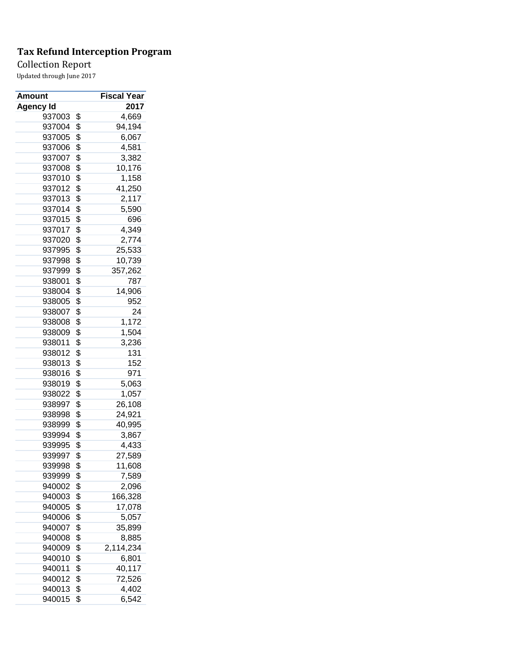Collection Report

| Amount           | <b>Fiscal Year</b> |
|------------------|--------------------|
| <b>Agency Id</b> | 2017               |
| 937003           | \$<br>4,669        |
| 937004           | \$<br>94,194       |
| 937005           | \$<br>6,067        |
| 937006           | \$<br>4,581        |
| 937007           | \$<br>3,382        |
| 937008           | \$<br>10,176       |
| 937010           | \$<br>1,158        |
| 937012           | \$<br>41,250       |
| 937013           | \$<br>2,117        |
| 937014           | \$<br>5,590        |
| 937015           | \$<br>696          |
| 937017           | \$<br>4,349        |
| 937020           | \$<br>2,774        |
| 937995           | \$<br>25,533       |
| 937998           | \$<br>10,739       |
| 937999           | \$<br>357,262      |
| 938001           | \$<br>787          |
| 938004           | \$<br>14,906       |
| 938005           | \$<br>952          |
| 938007           | \$<br>24           |
| 938008           | \$<br>1,172        |
| 938009           | \$<br>1,504        |
| 938011           | \$<br>3,236        |
| 938012           | \$<br>131          |
| 938013           | \$<br>152          |
| 938016           | \$<br>971          |
| 938019           | \$<br>5,063        |
| 938022           | \$<br>1,057        |
| 938997           | \$<br>26,108       |
| 938998           | \$<br>24,921       |
| 938999           | \$<br>40,995       |
| 939994           | \$<br>3,867        |
| 939995           | \$<br>4,433        |
| 939997           | \$<br>27,589       |
| 939998           | \$<br>11,608       |
| 939999           | \$<br>7,589        |
| 940002           | \$<br>2,096        |
| 940003           | \$<br>166,328      |
| 940005           | \$<br>17,078       |
| 940006           | \$<br>5,057        |
| 940007           | \$<br>35,899       |
| 940008           | \$<br>8,885        |
| 940009           | \$<br>2,114,234    |
| 940010           | \$<br>6,801        |
| 940011           | \$<br>40,117       |
| 940012           | \$<br>72,526       |
| 940013           | \$<br>4,402        |
| 940015           | \$<br>6,542        |
|                  |                    |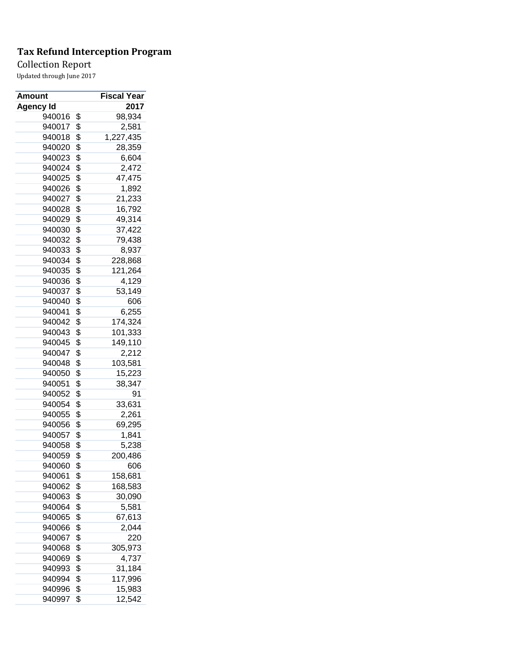Collection Report

| Amount    | <b>Fiscal Year</b> |
|-----------|--------------------|
| Agency Id | 2017               |
| 940016    | \$<br>98,934       |
| 940017    | \$<br>2,581        |
| 940018    | \$<br>1,227,435    |
| 940020    | \$<br>28,359       |
| 940023    | \$<br>6,604        |
| 940024    | \$<br>2,472        |
| 940025    | \$<br>47,475       |
| 940026    | \$<br>1,892        |
| 940027    | \$<br>21,233       |
| 940028    | \$<br>16,792       |
| 940029    | \$<br>49,314       |
| 940030    | \$<br>37,422       |
| 940032    | \$<br>79,438       |
| 940033    | \$<br>8,937        |
| 940034    | \$<br>228,868      |
| 940035    | \$<br>121,264      |
| 940036    | \$<br>4,129        |
| 940037    | \$<br>53,149       |
| 940040    | \$<br>606          |
| 940041    | \$<br>6,255        |
| 940042    | \$<br>174,324      |
| 940043    | \$<br>101,333      |
| 940045    | \$<br>149,110      |
| 940047    | \$<br>2,212        |
| 940048    | \$<br>103,581      |
| 940050    | \$<br>15,223       |
| 940051    | \$<br>38,347       |
| 940052    | \$<br>91           |
| 940054    | \$<br>33,631       |
| 940055    | \$<br>2,261        |
| 940056    | \$<br>69,295       |
| 940057    | \$<br>1,841        |
| 940058    | \$<br>5,238        |
| 940059    | \$<br>200,486      |
| 940060    | \$<br>606          |
| 940061    | \$<br>158,681      |
| 940062    | \$<br>168,583      |
| 940063    | \$<br>30,090       |
| 940064    | \$<br>5,581        |
| 940065    | \$<br>67,613       |
| 940066    | \$<br>2,044        |
| 940067    | \$<br>220          |
| 940068    | \$<br>305,973      |
| 940069    | 4,737              |
|           | \$                 |
| 940993    | \$<br>31,184       |
| 940994    | \$<br>117,996      |
| 940996    | \$<br>15,983       |
| 940997    | \$<br>12,542       |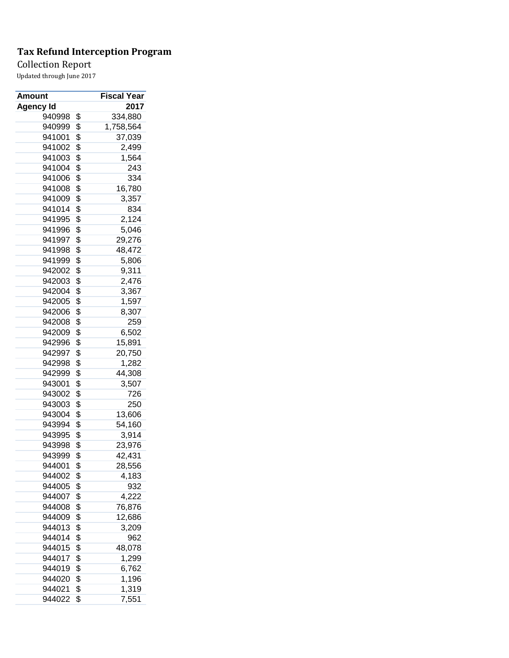Collection Report

| <b>Amount</b>    | Fiscal Year     |
|------------------|-----------------|
| <b>Agency Id</b> | 2017            |
| 940998           | \$<br>334,880   |
| 940999           | \$<br>1,758,564 |
| 941001           | \$<br>37,039    |
| 941002           | \$<br>2,499     |
| 941003           | \$<br>1,564     |
| 941004           | \$<br>243       |
| 941006           | \$<br>334       |
| 941008           | \$<br>16,780    |
| 941009           | \$<br>3,357     |
| 941014           | \$<br>834       |
| 941995           | \$<br>2,124     |
| 941996           | \$<br>5,046     |
| 941997           | \$<br>29,276    |
| 941998           | \$<br>48,472    |
| 941999           | \$<br>5,806     |
| 942002           | \$<br>9,311     |
| 942003           | \$<br>2,476     |
| 942004           | \$<br>3,367     |
| 942005           | \$<br>1,597     |
| 942006           | \$<br>8,307     |
| 942008           | \$<br>259       |
| 942009           | \$<br>6,502     |
| 942996           | \$<br>15,891    |
| 942997           | \$<br>20,750    |
| 942998           | \$<br>1,282     |
| 942999           | \$<br>44,308    |
| 943001           | \$<br>3,507     |
| 943002           | \$<br>726       |
| 943003           | \$<br>250       |
| 943004           | \$<br>13,606    |
| 943994           | \$<br>54,160    |
| 943995           | \$<br>3,914     |
| 943998           | \$<br>23,976    |
| 943999           | \$<br>42,431    |
| 944001           | \$<br>28,556    |
| 944002           | \$<br>4,183     |
| 944005           | \$<br>932       |
| 944007           | \$<br>4,222     |
| 944008           | \$<br>76,876    |
| 944009           | \$<br>12,686    |
| 944013           | \$<br>3,209     |
| 944014           | \$<br>962       |
| 944015           | \$<br>48,078    |
| 944017           | \$<br>1,299     |
| 944019           | \$<br>6,762     |
| 944020           | \$<br>1,196     |
| 944021           | \$<br>1,319     |
| 944022           | \$<br>7,551     |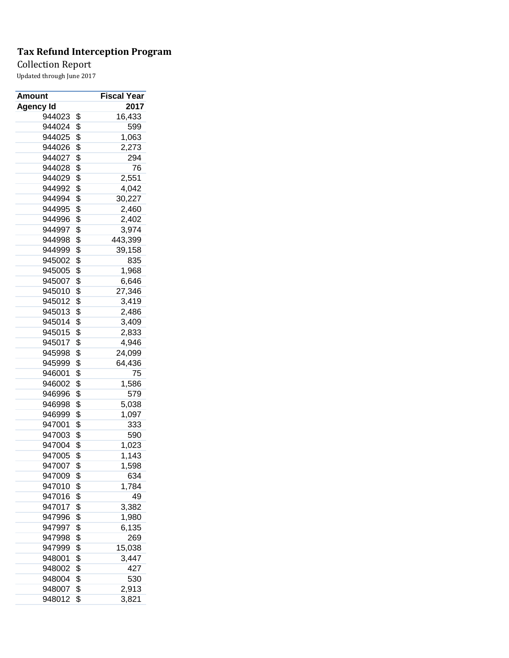Collection Report

| <b>Amount</b>    | Fiscal Year   |
|------------------|---------------|
| <b>Agency Id</b> | 2017          |
| 944023           | \$<br>16,433  |
| 944024           | \$<br>599     |
| 944025           | \$<br>1,063   |
| 944026           | \$<br>2,273   |
| 944027           | \$<br>294     |
| 944028           | \$<br>76      |
| 944029           | \$<br>2,551   |
| 944992           | \$<br>4,042   |
| 944994           | \$<br>30,227  |
| 944995           | \$<br>2,460   |
| 944996           | \$<br>2,402   |
| 944997           | \$<br>3,974   |
| 944998           | \$<br>443,399 |
| 944999           | \$<br>39,158  |
| 945002           | \$<br>835     |
| 945005           | \$<br>1,968   |
| 945007           | \$<br>6,646   |
| 945010           | \$<br>27,346  |
| 945012           | \$<br>3,419   |
| 945013           | \$<br>2,486   |
| 945014           | \$<br>3,409   |
| 945015           | \$<br>2,833   |
| 945017           | \$<br>4,946   |
| 945998           | \$<br>24,099  |
| 945999           | \$<br>64,436  |
| 946001           | \$<br>75      |
| 946002           | \$<br>1,586   |
| 946996           | \$<br>579     |
| 946998           | \$<br>5,038   |
| 946999           | \$<br>1,097   |
| 947001           | \$<br>333     |
| 947003           | \$<br>590     |
| 947004           | \$<br>1,023   |
| 947005           | \$<br>1,143   |
| 947007           | \$<br>1,598   |
| 947009           | \$<br>634     |
| 947010           | \$<br>1,784   |
| 947016           | \$<br>49      |
| 947017           | \$<br>3,382   |
| 947996           | \$<br>1,980   |
| 947997           | \$<br>6,135   |
| 947998           | \$<br>269     |
| 947999           | \$<br>15,038  |
| 948001           | \$<br>3,447   |
| 948002           | \$<br>427     |
| 948004           | \$<br>530     |
| 948007           | \$<br>2,913   |
| 948012           | \$<br>3,821   |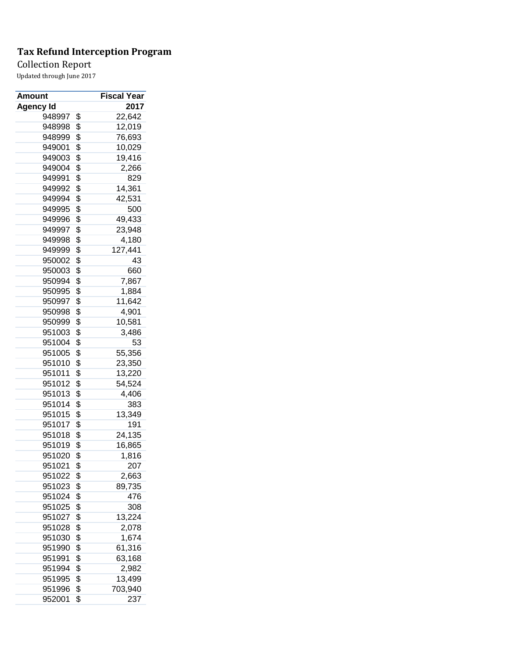Collection Report

| Amount           | <b>Fiscal Year</b> |
|------------------|--------------------|
| <b>Agency Id</b> | 2017               |
| 948997           | \$<br>22,642       |
| 948998           | \$<br>12,019       |
| 948999           | \$<br>76,693       |
| 949001           | \$<br>10,029       |
| 949003           | \$<br>19,416       |
| 949004           | \$<br>2,266        |
| 949991           | \$<br>829          |
| 949992           | \$<br>14,361       |
| 949994           | \$<br>42,531       |
| 949995           | \$<br>500          |
| 949996           | \$<br>49,433       |
| 949997           | \$<br>23,948       |
| 949998           | \$<br>4,180        |
| 949999           | \$<br>127,441      |
| 950002           | \$<br>43           |
| 950003           | \$<br>660          |
| 950994           | \$<br>7,867        |
| 950995           | \$<br>1,884        |
| 950997           | \$<br>11,642       |
| 950998           | \$<br>4,901        |
| 950999           | \$<br>10,581       |
| 951003           | \$<br>3,486        |
| 951004           | \$<br>53           |
| 951005           | \$<br>55,356       |
| 951010           | \$<br>23,350       |
| 951011           | \$<br>13,220       |
| 951012           | \$<br>54,524       |
| 951013           | \$<br>4,406        |
| 951014           | \$<br>383          |
| 951015           | \$<br>13,349       |
| 951017           | \$<br>191          |
| 951018           | \$<br>24,135       |
| 951019           | \$<br>16,865       |
| 951020           | \$<br>1,816        |
| 951021           | \$<br>207          |
| 951022           | \$<br>2,663        |
| 951023           | \$<br>89,735       |
| 951024           | \$<br>476          |
| 951025           | \$<br>308          |
| 951027           | \$<br>13,224       |
| 951028           | \$<br>2,078        |
| 951030           | \$<br>1,674        |
| 951990           | \$<br>61,316       |
| 951991           | \$<br>63,168       |
| 951994           | \$<br>2,982        |
| 951995           | \$<br>13,499       |
| 951996           | \$<br>703,940      |
| 952001           | \$<br>237          |
|                  |                    |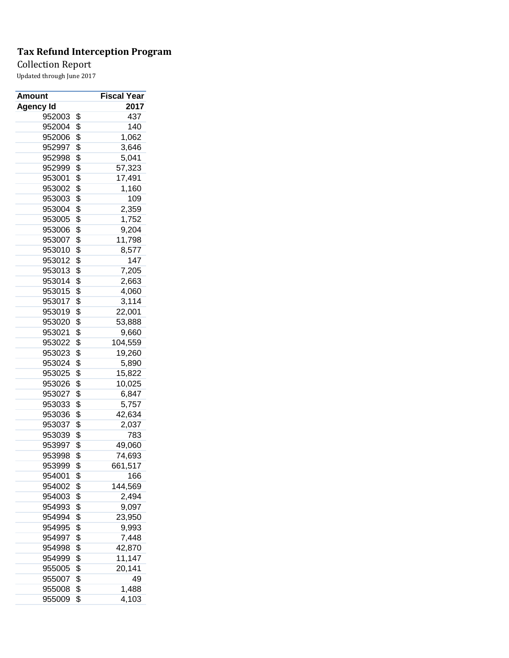## Collection Report

| <b>Amount</b> | Fiscal Year   |
|---------------|---------------|
| Agency Id     | 2017          |
| 952003        | \$<br>437     |
| 952004        | \$<br>140     |
| 952006        | \$<br>1,062   |
| 952997        | \$<br>3,646   |
| 952998        | \$<br>5,041   |
| 952999        | \$<br>57,323  |
| 953001        | \$<br>17,491  |
| 953002        | \$<br>1,160   |
| 953003        | \$<br>109     |
| 953004        | \$<br>2,359   |
| 953005        | \$<br>1,752   |
| 953006        | \$<br>9,204   |
| 953007        | \$<br>11,798  |
| 953010        | \$<br>8,577   |
| 953012        | \$<br>147     |
| 953013        | \$<br>7,205   |
| 953014        | \$<br>2,663   |
| 953015        | \$<br>4,060   |
| 953017        | \$<br>3,114   |
| 953019        | \$<br>22,001  |
| 953020        | \$<br>53,888  |
| 953021        | \$<br>9,660   |
| 953022        | \$<br>104,559 |
| 953023        | \$<br>19,260  |
| 953024        | \$<br>5,890   |
| 953025        | \$<br>15,822  |
| 953026        | \$<br>10,025  |
| 953027        | \$<br>6,847   |
| 953033        | \$            |
| 953036        | 5,757         |
|               | \$<br>42,634  |
| 953037        | \$<br>2,037   |
| 953039        | \$<br>783     |
| 953997        | \$<br>49,060  |
| 953998        | \$<br>74,693  |
| 953999        | \$<br>661,517 |
| 954001        | \$<br>166     |
| 954002        | \$<br>144,569 |
| 954003        | \$<br>2,494   |
| 954993        | \$<br>9,097   |
| 954994        | \$<br>23,950  |
| 954995        | \$<br>9,993   |
| 954997        | \$<br>7,448   |
| 954998        | \$<br>42,870  |
| 954999        | \$<br>11,147  |
| 955005        | \$<br>20,141  |
| 955007        | \$<br>49      |
| 955008        | \$<br>1,488   |
| 955009        | \$<br>4,103   |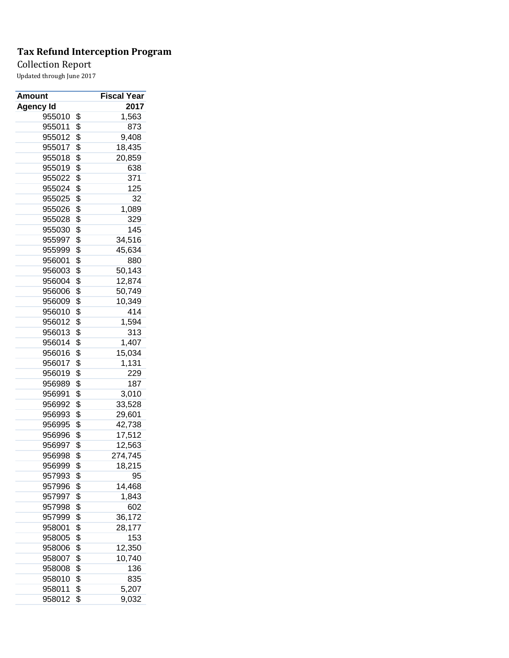## Collection Report

| <b>Amount</b>    | Fiscal Year   |
|------------------|---------------|
| <b>Agency Id</b> | 2017          |
| 955010           | \$<br>1,563   |
| 955011           | \$<br>873     |
| 955012           | \$<br>9,408   |
| 955017           | \$<br>18,435  |
| 955018           | \$<br>20,859  |
| 955019           | \$<br>638     |
| 955022           | \$<br>371     |
| 955024           | \$<br>125     |
| 955025           | \$<br>32      |
| 955026           | \$<br>1,089   |
| 955028           | \$<br>329     |
| 955030           | \$<br>145     |
| 955997           | \$<br>34,516  |
| 955999           | \$<br>45,634  |
| 956001           | \$<br>880     |
| 956003           | \$<br>50,143  |
| 956004           | \$<br>12,874  |
| 956006           | \$<br>50,749  |
| 956009           | \$<br>10,349  |
| 956010           | \$<br>414     |
| 956012           | \$<br>1,594   |
| 956013           | \$<br>313     |
| 956014           | \$<br>1,407   |
| 956016           | \$<br>15,034  |
| 956017           | \$<br>1,131   |
| 956019           | \$<br>229     |
| 956989           | \$<br>187     |
| 956991           | \$<br>3,010   |
| 956992           | \$<br>33,528  |
| 956993           | \$<br>29,601  |
| 956995           | \$<br>42,738  |
| 956996           | \$<br>17,512  |
| 956997           | \$<br>12,563  |
| 956998           | \$<br>274,745 |
| 956999           | \$<br>18,215  |
| 957993           | \$<br>95      |
| 957996           | \$<br>14,468  |
| 957997           | \$<br>1,843   |
| 957998           | \$<br>602     |
| 957999           | \$<br>36,172  |
|                  | \$            |
| 958001           | 28,177        |
| 958005           | \$<br>153     |
| 958006           | \$<br>12,350  |
| 958007           | \$<br>10,740  |
| 958008           | \$<br>136     |
| 958010           | \$<br>835     |
| 958011           | \$<br>5,207   |
| 958012           | \$<br>9,032   |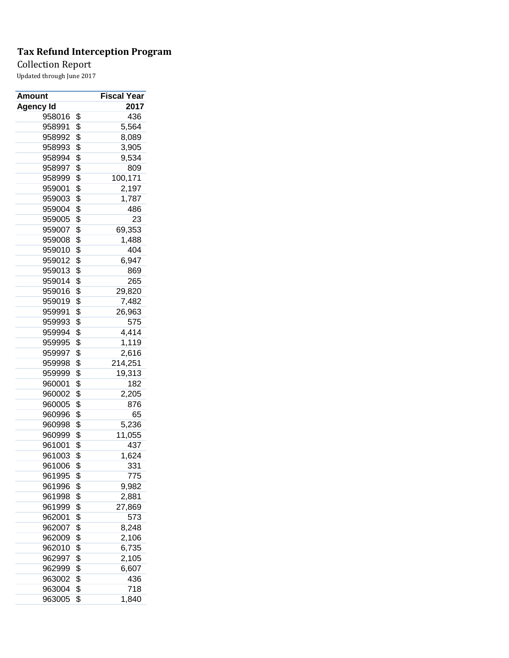## Collection Report

| <b>Amount</b>    | Fiscal Year   |
|------------------|---------------|
| <b>Agency Id</b> | 2017          |
| 958016           | \$<br>436     |
| 958991           | \$<br>5,564   |
| 958992           | \$<br>8,089   |
| 958993           | \$<br>3,905   |
| 958994           | \$<br>9,534   |
| 958997           | \$<br>809     |
| 958999           | \$<br>100,171 |
| 959001           | \$<br>2,197   |
| 959003           | \$<br>1,787   |
| 959004           | \$<br>486     |
| 959005           | \$<br>23      |
| 959007           | \$<br>69,353  |
| 959008           | \$<br>1,488   |
| 959010           | \$<br>404     |
| 959012           | \$<br>6,947   |
| 959013           | \$<br>869     |
| 959014           | \$<br>265     |
| 959016           | \$<br>29,820  |
| 959019           | \$<br>7,482   |
| 959991           | \$<br>26,963  |
| 959993           | \$<br>575     |
| 959994           | \$<br>4,414   |
| 959995           | \$<br>1,119   |
| 959997           | \$<br>2,616   |
| 959998           | \$<br>214,251 |
| 959999           | \$<br>19,313  |
| 960001           | \$<br>182     |
| 960002           | \$<br>2,205   |
| 960005           | \$<br>876     |
| 960996           | \$<br>65      |
| 960998           | \$<br>5,236   |
| 960999           | \$<br>11,055  |
| 961001           | \$<br>437     |
| 961003           | \$            |
| 961006           | \$<br>1,624   |
|                  | 331           |
| 961995           | \$<br>775     |
| 961996           | \$<br>9,982   |
| 961998           | \$<br>2,881   |
| 961999           | \$<br>27,869  |
| 962001           | \$<br>573     |
| 962007           | \$<br>8,248   |
| 962009           | \$<br>2,106   |
| 962010           | \$<br>6,735   |
| 962997           | \$<br>2,105   |
| 962999           | \$<br>6,607   |
| 963002           | \$<br>436     |
| 963004           | \$<br>718     |
| 963005           | \$<br>1,840   |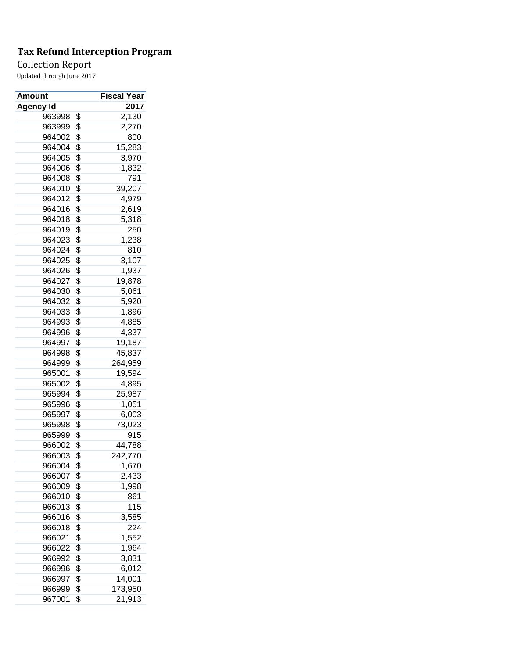## Collection Report

| <b>Amount</b> | Fiscal Year   |
|---------------|---------------|
| Agency Id     | 2017          |
| 963998        | \$<br>2,130   |
| 963999        | \$<br>2,270   |
| 964002        | \$<br>800     |
| 964004        | \$<br>15,283  |
| 964005        | \$<br>3,970   |
| 964006        | \$<br>1,832   |
| 964008        | \$<br>791     |
| 964010        | \$<br>39,207  |
| 964012        | \$<br>4,979   |
| 964016        | \$<br>2,619   |
| 964018        | \$<br>5,318   |
| 964019        | \$<br>250     |
| 964023        | \$<br>1,238   |
| 964024        | \$<br>810     |
| 964025        | \$<br>3,107   |
| 964026        | \$<br>1,937   |
| 964027        | \$<br>19,878  |
| 964030        | \$<br>5,061   |
| 964032        | \$<br>5,920   |
| 964033        | \$<br>1,896   |
| 964993        | \$<br>4,885   |
| 964996        | \$<br>4,337   |
| 964997        | \$<br>19,187  |
| 964998        | \$<br>45,837  |
| 964999        | \$<br>264,959 |
| 965001        | \$<br>19,594  |
| 965002        | \$<br>4,895   |
| 965994        | \$<br>25,987  |
| 965996        | \$            |
| 965997        | 1,051         |
|               | \$<br>6,003   |
| 965998        | \$<br>73,023  |
| 965999        | \$<br>915     |
| 966002        | \$<br>44,788  |
| 966003        | \$<br>242,770 |
| 966004        | \$<br>1,670   |
| 966007        | \$<br>2,433   |
| 966009        | \$<br>1,998   |
| 966010        | \$<br>861     |
| 966013        | \$<br>115     |
| 966016        | \$<br>3,585   |
| 966018        | \$<br>224     |
| 966021        | \$<br>1,552   |
| 966022        | \$<br>1,964   |
| 966992        | \$<br>3,831   |
| 966996        | \$<br>6,012   |
| 966997        | \$<br>14,001  |
| 966999        | \$<br>173,950 |
| 967001        | \$<br>21,913  |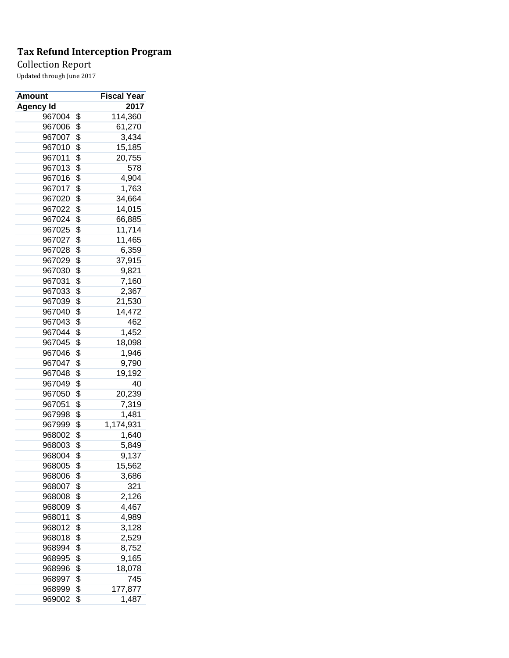Collection Report

| <b>Amount</b>    | Fiscal Year     |
|------------------|-----------------|
| <b>Agency Id</b> | 2017            |
| 967004           | \$<br>114,360   |
| 967006           | \$<br>61,270    |
| 967007           | \$<br>3,434     |
| 967010           | \$<br>15,185    |
| 967011           | \$<br>20,755    |
| 967013           | \$<br>578       |
| 967016           | \$<br>4,904     |
| 967017           | \$<br>1,763     |
| 967020           | \$<br>34,664    |
| 967022           | \$<br>14,015    |
| 967024           | \$<br>66,885    |
| 967025           | \$<br>11,714    |
| 967027           | \$<br>11,465    |
| 967028           | \$<br>6,359     |
| 967029           | \$<br>37,915    |
| 967030           | \$<br>9,821     |
| 967031           | \$<br>7,160     |
| 967033           | \$<br>2,367     |
| 967039           | \$<br>21,530    |
| 967040           | \$<br>14,472    |
| 967043           | \$<br>462       |
| 967044           | \$<br>1,452     |
| 967045           | \$<br>18,098    |
| 967046           | \$<br>1,946     |
| 967047           | \$<br>9,790     |
| 967048           | \$<br>19,192    |
| 967049           | \$<br>40        |
| 967050           | \$<br>20,239    |
| 967051           | \$<br>7,319     |
| 967998           | \$<br>1,481     |
| 967999           | \$<br>1,174,931 |
| 968002           | \$<br>1,640     |
| 968003           | \$<br>5,849     |
| 968004           | \$<br>9,137     |
| 968005           | \$<br>15,562    |
| 968006           | \$<br>3,686     |
| 968007           | \$<br>321       |
| 968008           | \$<br>2,126     |
| 968009           | \$<br>4,467     |
| 968011           | \$<br>4,989     |
| 968012           | \$<br>3,128     |
| 968018           | \$<br>2,529     |
| 968994           | \$<br>8,752     |
| 968995           | \$<br>9,165     |
| 968996           | \$<br>18,078    |
| 968997           | \$<br>745       |
| 968999           | \$<br>177,877   |
| 969002           | \$<br>1,487     |
|                  |                 |